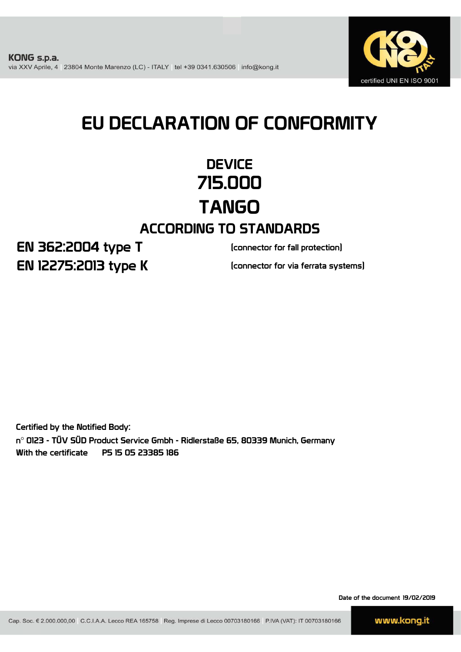

# EU DECLARATION OF CONFORMITY

## **DEVICE** 715.000 TANGO ACCORDING TO STANDARDS

EN 12275:2013 type K EN 362:2004 type T

(connector for fall protection)

(connector for via ferrata systems)

Certified by the Notified Body: n° 0123 - TÜV SÜD Product Service Gmbh - Ridlerstaße 65, 80339 Munich, Germany With the certificate P5 15 05 23385 186

Date of the document 19/02/2019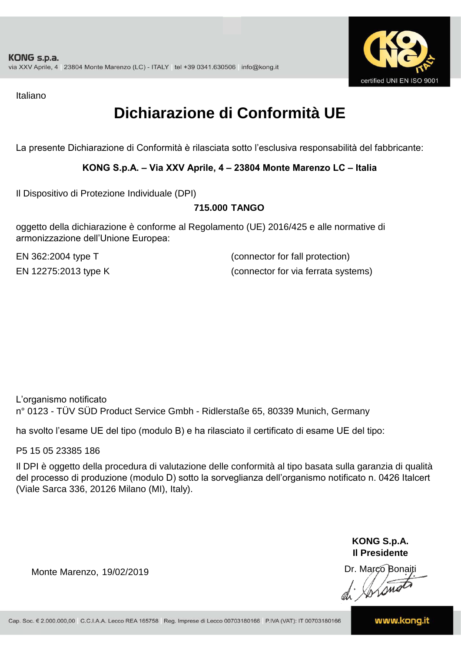

Italiano

## **Dichiarazione di Conformità UE**

La presente Dichiarazione di Conformità è rilasciata sotto l'esclusiva responsabilità del fabbricante:

#### **KONG S.p.A. – Via XXV Aprile, 4 – 23804 Monte Marenzo LC – Italia**

Il Dispositivo di Protezione Individuale (DPI)

#### **715.000 TANGO**

oggetto della dichiarazione è conforme al Regolamento (UE) 2016/425 e alle normative di armonizzazione dell'Unione Europea:

EN 362:2004 type T

(connector for fall protection) EN 12275:2013 type K (connector for via ferrata systems)

L'organismo notificato n° 0123 - TÜV SÜD Product Service Gmbh - Ridlerstaße 65, 80339 Munich, Germany

ha svolto l'esame UE del tipo (modulo B) e ha rilasciato il certificato di esame UE del tipo:

P5 15 05 23385 186

Il DPI è oggetto della procedura di valutazione delle conformità al tipo basata sulla garanzia di qualità del processo di produzione (modulo D) sotto la sorveglianza dell'organismo notificato n. 0426 Italcert (Viale Sarca 336, 20126 Milano (MI), Italy).

> **KONG S.p.A. Il Presidente**

Monte Marenzo, 19/02/2019<br>Monte Marenzo, 19/02/2019<br>Marco Bonaiti 19/02/2019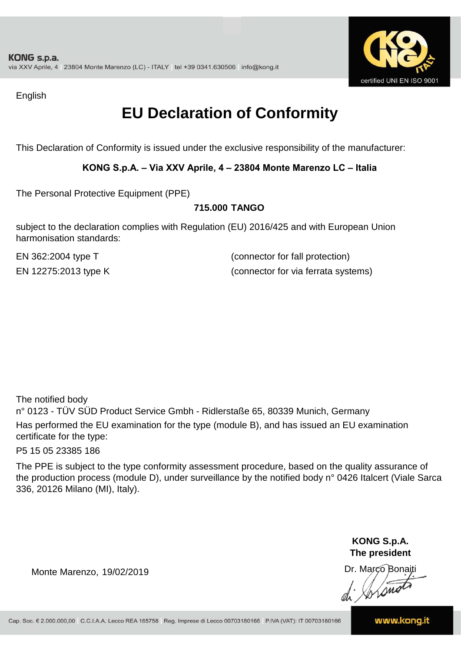

English

### **EU Declaration of Conformity**

This Declaration of Conformity is issued under the exclusive responsibility of the manufacturer:

#### **KONG S.p.A. – Via XXV Aprile, 4 – 23804 Monte Marenzo LC – Italia**

The Personal Protective Equipment (PPE)

#### **715.000 TANGO**

subject to the declaration complies with Regulation (EU) 2016/425 and with European Union harmonisation standards:

EN 362:2004 type T (connector for fall protection) EN 12275:2013 type K (connector for via ferrata systems)

The notified body

n° 0123 - TÜV SÜD Product Service Gmbh - Ridlerstaße 65, 80339 Munich, Germany Has performed the EU examination for the type (module B), and has issued an EU examination certificate for the type:

P5 15 05 23385 186

The PPE is subject to the type conformity assessment procedure, based on the quality assurance of the production process (module D), under surveillance by the notified body n° 0426 Italcert (Viale Sarca 336, 20126 Milano (MI), Italy).

> **KONG S.p.A. The president**

Dr. Marco Bonaiti di Aromor

Monte Marenzo, 19/02/2019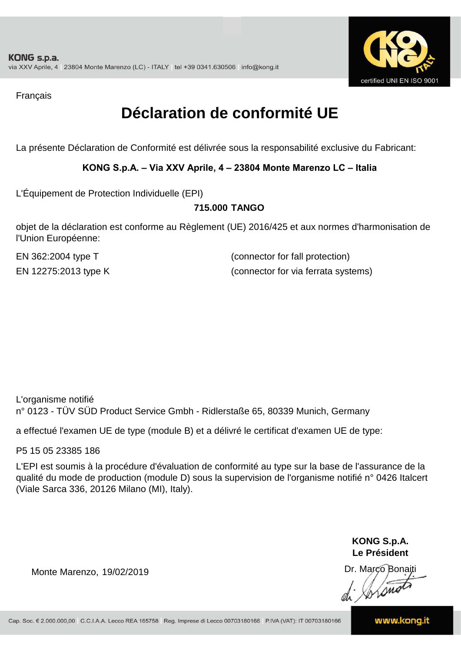

Français

### **Déclaration de conformité UE**

La présente Déclaration de Conformité est délivrée sous la responsabilité exclusive du Fabricant:

#### **KONG S.p.A. – Via XXV Aprile, 4 – 23804 Monte Marenzo LC – Italia**

L'Équipement de Protection Individuelle (EPI)

#### **715.000 TANGO**

objet de la déclaration est conforme au Règlement (UE) 2016/425 et aux normes d'harmonisation de l'Union Européenne:

EN 362:2004 type T (connector for fall protection) EN 12275:2013 type K (connector for via ferrata systems)

L'organisme notifié n° 0123 - TÜV SÜD Product Service Gmbh - Ridlerstaße 65, 80339 Munich, Germany

a effectué l'examen UE de type (module B) et a délivré le certificat d'examen UE de type:

P5 15 05 23385 186

L'EPI est soumis à la procédure d'évaluation de conformité au type sur la base de l'assurance de la qualité du mode de production (module D) sous la supervision de l'organisme notifié n° 0426 Italcert (Viale Sarca 336, 20126 Milano (MI), Italy).

> **KONG S.p.A. Le Président**

Dr. Marco Bonaiti di Aromor

Monte Marenzo, 19/02/2019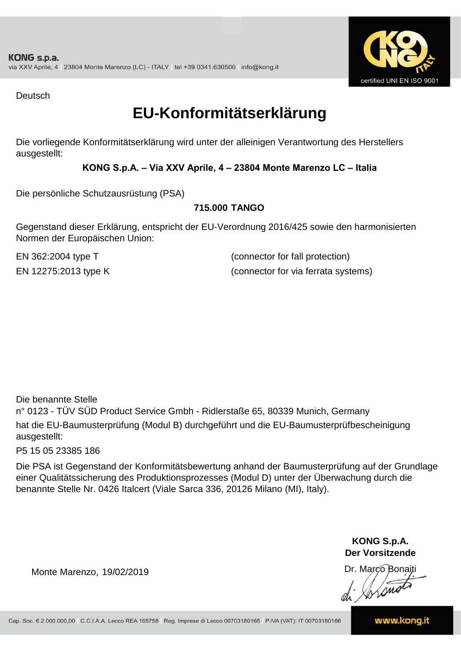

Deutsch

### **EU-Konformitätserklärung**

Die vorliegende Konformitätserklärung wird unter der alleinigen Verantwortung des Herstellers ausgestellt:

#### **KONG S.p.A. – Via XXV Aprile, 4 – 23804 Monte Marenzo LC – Italia**

Die persönliche Schutzausrüstung (PSA)

#### **715.000 TANGO**

Gegenstand dieser Erklärung, entspricht der EU-Verordnung 2016/425 sowie den harmonisierten Normen der Europäischen Union:

EN 362:2004 type T (connector for fall protection) EN 12275:2013 type K (connector for via ferrata systems)

Die benannte Stelle

n° 0123 - TÜV SÜD Product Service Gmbh - Ridlerstaße 65, 80339 Munich, Germany hat die EU-Baumusterprüfung (Modul B) durchgeführt und die EU-Baumusterprüfbescheinigung ausgestellt:

P5 15 05 23385 186

Die PSA ist Gegenstand der Konformitätsbewertung anhand der Baumusterprüfung auf der Grundlage einer Qualitätssicherung des Produktionsprozesses (Modul D) unter der Überwachung durch die benannte Stelle Nr. 0426 Italcert (Viale Sarca 336, 20126 Milano (MI), Italy).

> **KONG S.p.A. Der Vorsitzende**

Dr. Marco Bonaiti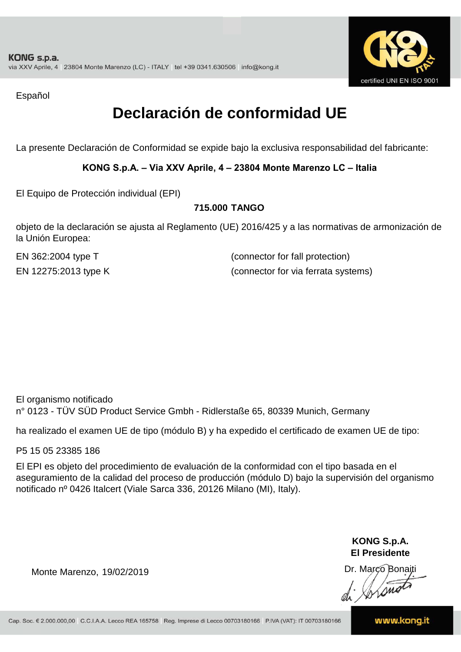

Español

### **Declaración de conformidad UE**

La presente Declaración de Conformidad se expide bajo la exclusiva responsabilidad del fabricante:

#### **KONG S.p.A. – Via XXV Aprile, 4 – 23804 Monte Marenzo LC – Italia**

El Equipo de Protección individual (EPI)

#### **715.000 TANGO**

objeto de la declaración se ajusta al Reglamento (UE) 2016/425 y a las normativas de armonización de la Unión Europea:

EN 362:2004 type T

(connector for fall protection) EN 12275:2013 type K (connector for via ferrata systems)

El organismo notificado n° 0123 - TÜV SÜD Product Service Gmbh - Ridlerstaße 65, 80339 Munich, Germany

ha realizado el examen UE de tipo (módulo B) y ha expedido el certificado de examen UE de tipo:

P5 15 05 23385 186

El EPI es objeto del procedimiento de evaluación de la conformidad con el tipo basada en el aseguramiento de la calidad del proceso de producción (módulo D) bajo la supervisión del organismo notificado nº 0426 Italcert (Viale Sarca 336, 20126 Milano (MI), Italy).

> **KONG S.p.A. El Presidente**

Dr. Marco Bonaiti di Aromor

Monte Marenzo, 19/02/2019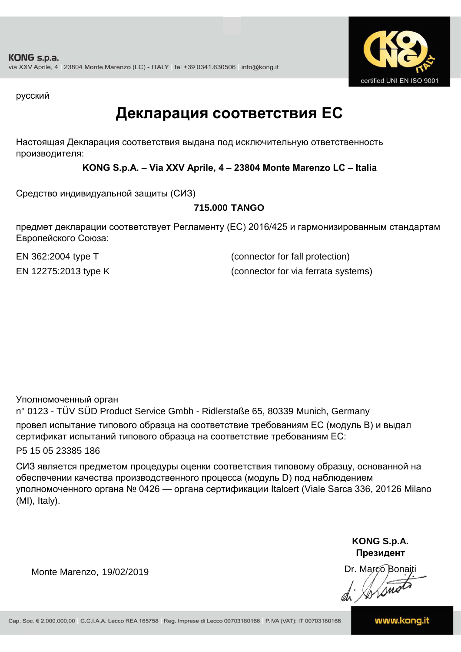

русский

### **Декларация соответствия ЕС**

Настоящая Декларация соответствия выдана под исключительную ответственность производителя:

**KONG S.p.A. – Via XXV Aprile, 4 – 23804 Monte Marenzo LC – Italia**

Средство индивидуальной защиты (СИЗ)

#### **715.000 TANGO**

предмет декларации соответствует Регламенту (ЕС) 2016/425 и гармонизированным стандартам Европейского Союза:

EN 362:2004 type T (connector for fall protection) EN 12275:2013 type K (connector for via ferrata systems)

Уполномоченный орган

n° 0123 - TÜV SÜD Product Service Gmbh - Ridlerstaße 65, 80339 Munich, Germany провел испытание типового образца на соответствие требованиям ЕС (модуль B) и выдал сертификат испытаний типового образца на соответствие требованиям ЕС:

P5 15 05 23385 186

СИЗ является предметом процедуры оценки соответствия типовому образцу, основанной на обеспечении качества производственного процесса (модуль D) под наблюдением уполномоченного органа № 0426 — органа сертификации Italcert (Viale Sarca 336, 20126 Milano (MI), Italy).

> **KONG S.p.A. Президент**

Dr. Marco Bonaiti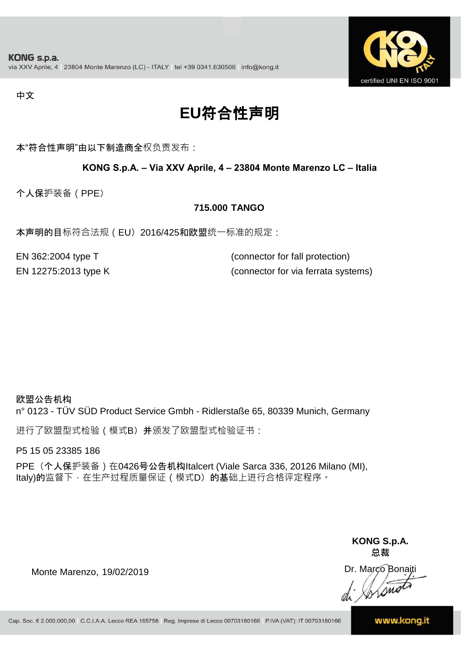

#### 中文

## **EU**符合性声明

本"符合性声明"由以下制造商全权负责发布:

#### **KONG S.p.A. – Via XXV Aprile, 4 – 23804 Monte Marenzo LC – Italia**

个人保护装备(PPE)

#### **715.000 TANGO**

本声明的目标符合法规(EU) 2016/425和欧盟统一标准的规定:

EN 362:2004 type T (connector for fall protection) EN 12275:2013 type K (connector for via ferrata systems)

#### 欧盟公告机构

n° 0123 - TÜV SÜD Product Service Gmbh - Ridlerstaße 65, 80339 Munich, Germany

进行了欧盟型式检验(模式B) 并颁发了欧盟型式检验证书:

P5 15 05 23385 186

PPE (个人保护装备) 在0426号公告机构Italcert (Viale Sarca 336, 20126 Milano (MI), Italy)的监督下, 在生产过程质量保证 ( 模式D) 的基础上进行合格评定程序。

> **KONG S.p.A. 总裁**

Dr. Marco Bonaiti di Stono

Monte Marenzo, 19/02/2019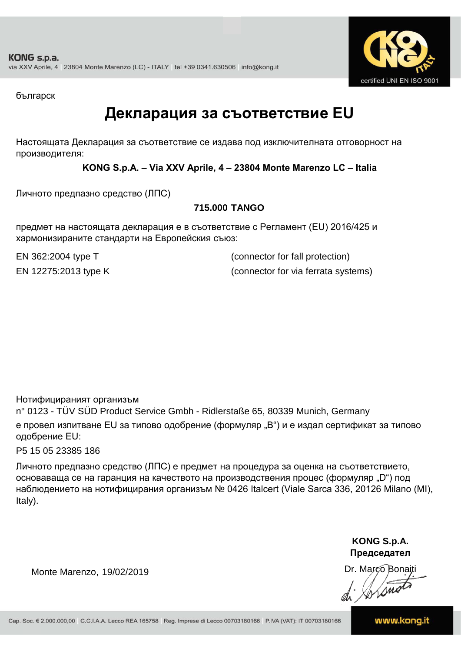

българск

### **Декларация за съответствие EU**

Настоящата Декларация за съответствие се издава под изключителната отговорност на производителя:

**KONG S.p.A. – Via XXV Aprile, 4 – 23804 Monte Marenzo LC – Italia**

Личното предпазно средство (ЛПС)

#### **715.000 TANGO**

предмет на настоящата декларация е в съответствие с Регламент (ЕU) 2016/425 и хармонизираните стандарти на Европейския съюз:

EN 362:2004 type T (connector for fall protection) EN 12275:2013 type K (connector for via ferrata systems)

Нотифицираният организъм

n° 0123 - TÜV SÜD Product Service Gmbh - Ridlerstaße 65, 80339 Munich, Germany е провел изпитване EU за типово одобрение (формуляр "B") и е издал сертификат за типово одобрение ЕU:

P5 15 05 23385 186

Личното предпазно средство (ЛПС) е предмет на процедура за оценка на съответствието, основаваща се на гаранция на качеството на производствения процес (формуляр "D") под наблюдението на нотифицирания организъм № 0426 Italcert (Viale Sarca 336, 20126 Milano (MI), Italy).

> **KONG S.p.A. Председател**

Dr. Marco Bonaiti di Arono

Monte Marenzo, 19/02/2019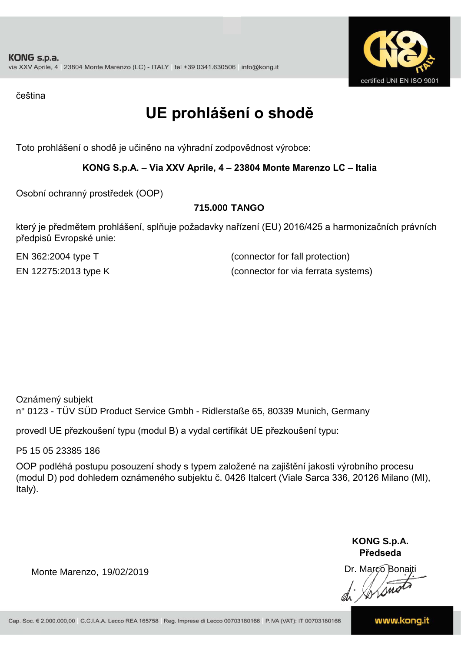

čeština

## **UE prohlášení o shodě**

Toto prohlášení o shodě je učiněno na výhradní zodpovědnost výrobce:

#### **KONG S.p.A. – Via XXV Aprile, 4 – 23804 Monte Marenzo LC – Italia**

Osobní ochranný prostředek (OOP)

#### **715.000 TANGO**

který je předmětem prohlášení, splňuje požadavky nařízení (EU) 2016/425 a harmonizačních právních předpisů Evropské unie:

EN 362:2004 type T (connector for fall protection) EN 12275:2013 type K (connector for via ferrata systems)

Oznámený subjekt n° 0123 - TÜV SÜD Product Service Gmbh - Ridlerstaße 65, 80339 Munich, Germany

provedl UE přezkoušení typu (modul B) a vydal certifikát UE přezkoušení typu:

P5 15 05 23385 186

OOP podléhá postupu posouzení shody s typem založené na zajištění jakosti výrobního procesu (modul D) pod dohledem oznámeného subjektu č. 0426 Italcert (Viale Sarca 336, 20126 Milano (MI), Italy).

> **KONG S.p.A. Předseda**

Dr. Marco Bonaiti

Monte Marenzo, 19/02/2019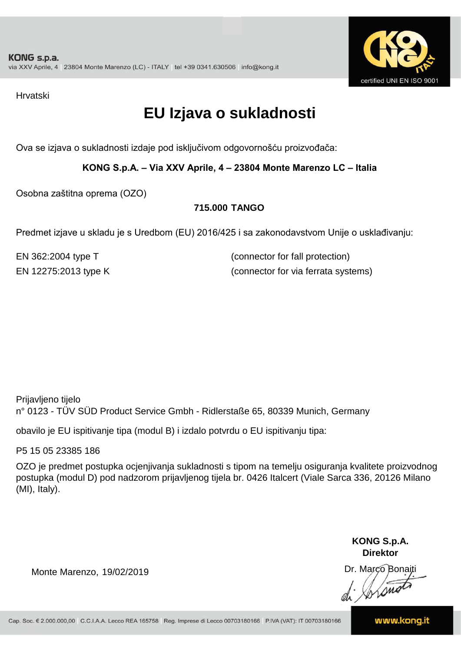

Hrvatski

## **EU Izjava o sukladnosti**

Ova se izjava o sukladnosti izdaje pod isključivom odgovornošću proizvođača:

**KONG S.p.A. – Via XXV Aprile, 4 – 23804 Monte Marenzo LC – Italia**

Osobna zaštitna oprema (OZO)

#### **715.000 TANGO**

Predmet izjave u skladu je s Uredbom (EU) 2016/425 i sa zakonodavstvom Unije o usklađivanju:

EN 362:2004 type T (connector for fall protection) EN 12275:2013 type K (connector for via ferrata systems)

Prijavljeno tijelo n° 0123 - TÜV SÜD Product Service Gmbh - Ridlerstaße 65, 80339 Munich, Germany

obavilo je EU ispitivanje tipa (modul B) i izdalo potvrdu o EU ispitivanju tipa:

P5 15 05 23385 186

OZO je predmet postupka ocjenjivanja sukladnosti s tipom na temelju osiguranja kvalitete proizvodnog postupka (modul D) pod nadzorom prijavljenog tijela br. 0426 Italcert (Viale Sarca 336, 20126 Milano (MI), Italy).

> **KONG S.p.A. Direktor**

Dr. Marco Bonaiti

Monte Marenzo, 19/02/2019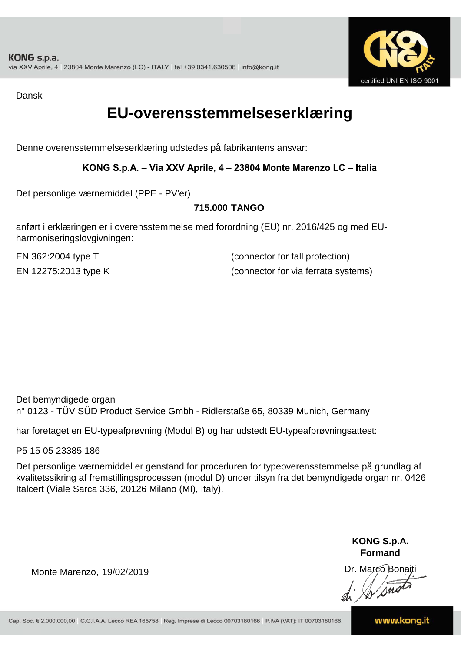

Dansk

### **EU-overensstemmelseserklæring**

Denne overensstemmelseserklæring udstedes på fabrikantens ansvar:

#### **KONG S.p.A. – Via XXV Aprile, 4 – 23804 Monte Marenzo LC – Italia**

Det personlige værnemiddel (PPE - PV'er)

#### **715.000 TANGO**

anført i erklæringen er i overensstemmelse med forordning (EU) nr. 2016/425 og med EUharmoniseringslovgivningen:

EN 362:2004 type T (connector for fall protection) EN 12275:2013 type K (connector for via ferrata systems)

Det bemyndigede organ n° 0123 - TÜV SÜD Product Service Gmbh - Ridlerstaße 65, 80339 Munich, Germany

har foretaget en EU-typeafprøvning (Modul B) og har udstedt EU-typeafprøvningsattest:

P5 15 05 23385 186

Det personlige værnemiddel er genstand for proceduren for typeoverensstemmelse på grundlag af kvalitetssikring af fremstillingsprocessen (modul D) under tilsyn fra det bemyndigede organ nr. 0426 Italcert (Viale Sarca 336, 20126 Milano (MI), Italy).

> **KONG S.p.A. Formand**

Dr. Marco Bonaiti di Aromor

Monte Marenzo, 19/02/2019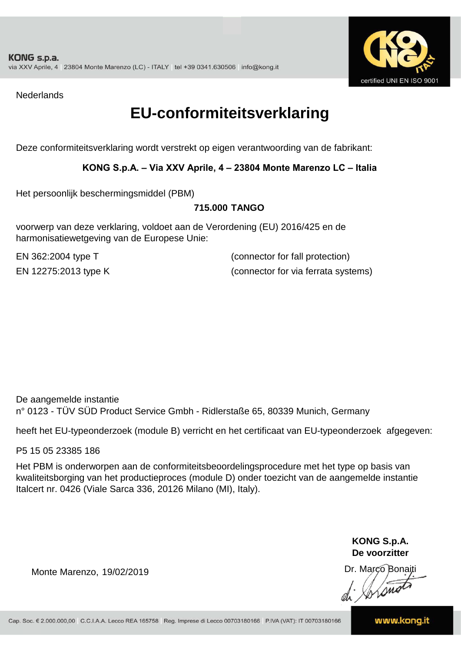

**Nederlands** 

### **EU-conformiteitsverklaring**

Deze conformiteitsverklaring wordt verstrekt op eigen verantwoording van de fabrikant:

#### **KONG S.p.A. – Via XXV Aprile, 4 – 23804 Monte Marenzo LC – Italia**

Het persoonlijk beschermingsmiddel (PBM)

#### **715.000 TANGO**

voorwerp van deze verklaring, voldoet aan de Verordening (EU) 2016/425 en de harmonisatiewetgeving van de Europese Unie:

EN 362:2004 type T (connector for fall protection) EN 12275:2013 type K (connector for via ferrata systems)

De aangemelde instantie n° 0123 - TÜV SÜD Product Service Gmbh - Ridlerstaße 65, 80339 Munich, Germany

heeft het EU-typeonderzoek (module B) verricht en het certificaat van EU-typeonderzoek afgegeven:

P5 15 05 23385 186

Het PBM is onderworpen aan de conformiteitsbeoordelingsprocedure met het type op basis van kwaliteitsborging van het productieproces (module D) onder toezicht van de aangemelde instantie Italcert nr. 0426 (Viale Sarca 336, 20126 Milano (MI), Italy).

> **KONG S.p.A. De voorzitter**

Dr. Marco Bonaiti

Monte Marenzo, 19/02/2019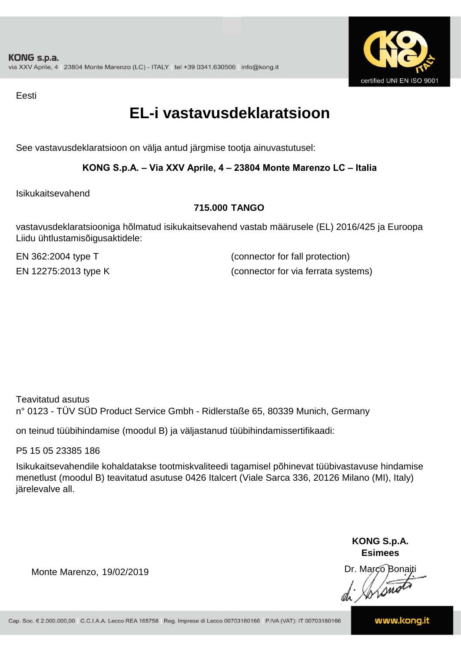

Eesti

### **EL-i vastavusdeklaratsioon**

See vastavusdeklaratsioon on välja antud järgmise tootja ainuvastutusel:

#### **KONG S.p.A. – Via XXV Aprile, 4 – 23804 Monte Marenzo LC – Italia**

Isikukaitsevahend

#### **715.000 TANGO**

vastavusdeklaratsiooniga hõlmatud isikukaitsevahend vastab määrusele (EL) 2016/425 ja Euroopa Liidu ühtlustamisõigusaktidele:

EN 362:2004 type T (connector for fall protection) EN 12275:2013 type K (connector for via ferrata systems)

Teavitatud asutus n° 0123 - TÜV SÜD Product Service Gmbh - Ridlerstaße 65, 80339 Munich, Germany

on teinud tüübihindamise (moodul B) ja väljastanud tüübihindamissertifikaadi:

P5 15 05 23385 186

Isikukaitsevahendile kohaldatakse tootmiskvaliteedi tagamisel põhinevat tüübivastavuse hindamise menetlust (moodul B) teavitatud asutuse 0426 Italcert (Viale Sarca 336, 20126 Milano (MI), Italy) järelevalve all.

> **KONG S.p.A. Esimees**

Dr. Marco Bonaiti di Stono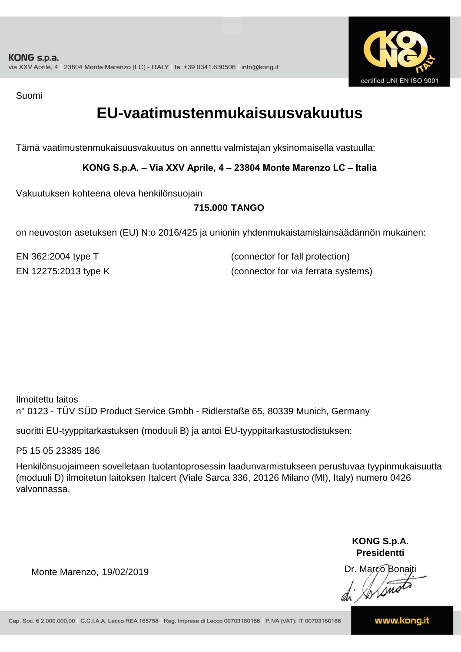

Suomi

### **EU-vaatimustenmukaisuusvakuutus**

Tämä vaatimustenmukaisuusvakuutus on annettu valmistajan yksinomaisella vastuulla:

**KONG S.p.A. – Via XXV Aprile, 4 – 23804 Monte Marenzo LC – Italia**

Vakuutuksen kohteena oleva henkilönsuojain

#### **715.000 TANGO**

on neuvoston asetuksen (EU) N:o 2016/425 ja unionin yhdenmukaistamislainsäädännön mukainen:

EN 362:2004 type T (connector for fall protection) EN 12275:2013 type K (connector for via ferrata systems)

Ilmoitettu laitos n° 0123 - TÜV SÜD Product Service Gmbh - Ridlerstaße 65, 80339 Munich, Germany

suoritti EU-tyyppitarkastuksen (moduuli B) ja antoi EU-tyyppitarkastustodistuksen:

P5 15 05 23385 186

Henkilönsuojaimeen sovelletaan tuotantoprosessin laadunvarmistukseen perustuvaa tyypinmukaisuutta (moduuli D) ilmoitetun laitoksen Italcert (Viale Sarca 336, 20126 Milano (MI), Italy) numero 0426 valvonnassa.

> **KONG S.p.A. Presidentti**

Dr. Marco Bonaiti di Simon

Monte Marenzo, 19/02/2019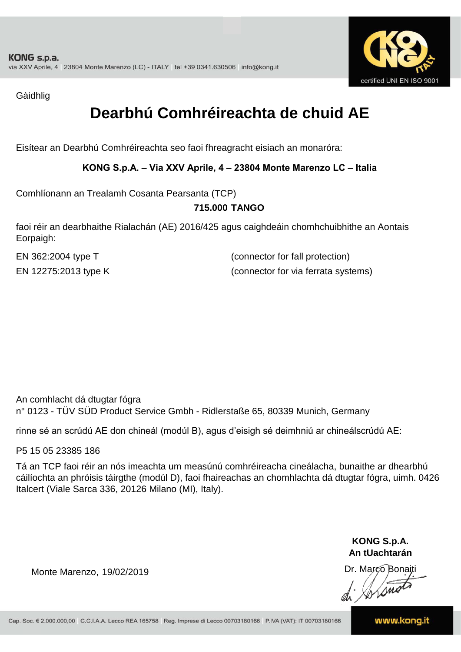

Gàidhlig

## **Dearbhú Comhréireachta de chuid AE**

Eisítear an Dearbhú Comhréireachta seo faoi fhreagracht eisiach an monaróra:

#### **KONG S.p.A. – Via XXV Aprile, 4 – 23804 Monte Marenzo LC – Italia**

Comhlíonann an Trealamh Cosanta Pearsanta (TCP)

#### **715.000 TANGO**

faoi réir an dearbhaithe Rialachán (AE) 2016/425 agus caighdeáin chomhchuibhithe an Aontais Eorpaigh:

EN 362:2004 type T (connector for fall protection) EN 12275:2013 type K (connector for via ferrata systems)

An comhlacht dá dtugtar fógra n° 0123 - TÜV SÜD Product Service Gmbh - Ridlerstaße 65, 80339 Munich, Germany

rinne sé an scrúdú AE don chineál (modúl B), agus d'eisigh sé deimhniú ar chineálscrúdú AE:

P5 15 05 23385 186

Tá an TCP faoi réir an nós imeachta um measúnú comhréireacha cineálacha, bunaithe ar dhearbhú cáilíochta an phróisis táirgthe (modúl D), faoi fhaireachas an chomhlachta dá dtugtar fógra, uimh. 0426 Italcert (Viale Sarca 336, 20126 Milano (MI), Italy).

> **KONG S.p.A. An tUachtarán**

Dr. Marco Bonaiti di Stono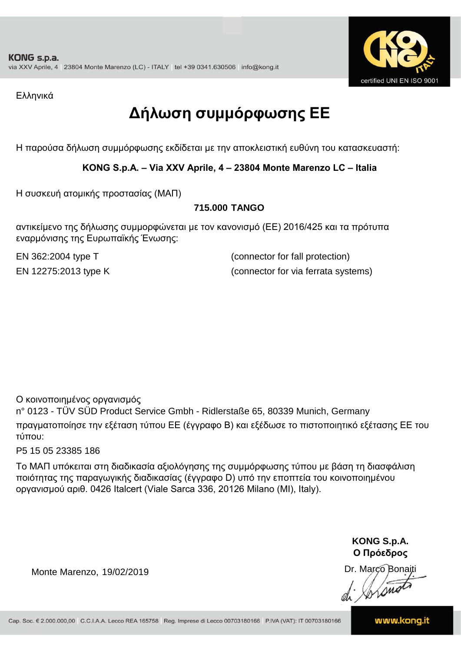

Ελληνικά

## **Δήλωση συμμόρφωσης ΕE**

Η παρούσα δήλωση συμμόρφωσης εκδίδεται με την αποκλειστική ευθύνη του κατασκευαστή:

**KONG S.p.A. – Via XXV Aprile, 4 – 23804 Monte Marenzo LC – Italia**

Η συσκευή ατομικής προστασίας (ΜΑΠ)

#### **715.000 TANGO**

αντικείμενο της δήλωσης συμμορφώνεται με τον κανονισμό (ΕΕ) 2016/425 και τα πρότυπα εναρμόνισης της Ευρωπαϊκής Ένωσης:

EN 362:2004 type T (connector for fall protection) EN 12275:2013 type K (connector for via ferrata systems)

Ο κοινοποιημένος οργανισμός

n° 0123 - TÜV SÜD Product Service Gmbh - Ridlerstaße 65, 80339 Munich, Germany πραγματοποίησε την εξέταση τύπου ΕΕ (έγγραφο Β) και εξέδωσε το πιστοποιητικό εξέτασης ΕΕ του τύπου:

P5 15 05 23385 186

Το ΜΑΠ υπόκειται στη διαδικασία αξιολόγησης της συμμόρφωσης τύπου με βάση τη διασφάλιση ποιότητας της παραγωγικής διαδικασίας (έγγραφο D) υπό την εποπτεία του κοινοποιημένου οργανισμού αριθ. 0426 Italcert (Viale Sarca 336, 20126 Milano (MI), Italy).

> **KONG S.p.A. Ο Πρόεδρος**

Dr. Marco Bonaiti di Stonom

Monte Marenzo, 19/02/2019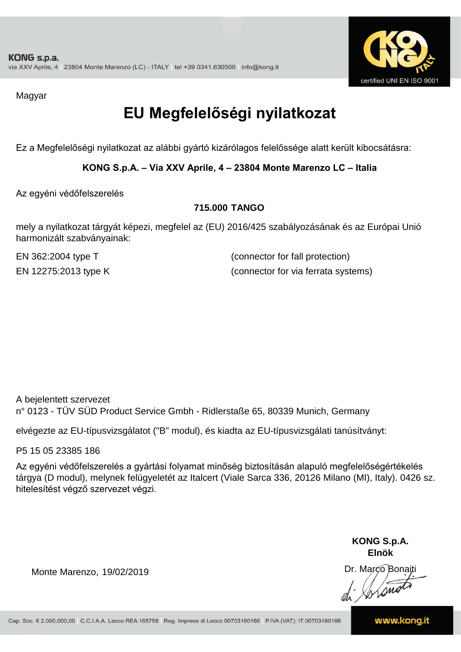

Magyar

## **EU Megfelelőségi nyilatkozat**

Ez a Megfelelőségi nyilatkozat az alábbi gyártó kizárólagos felelőssége alatt került kibocsátásra:

**KONG S.p.A. – Via XXV Aprile, 4 – 23804 Monte Marenzo LC – Italia**

Az egyéni védőfelszerelés

#### **715.000 TANGO**

mely a nyilatkozat tárgyát képezi, megfelel az (EU) 2016/425 szabályozásának és az Európai Unió harmonizált szabványainak:

EN 362:2004 type T (connector for fall protection) EN 12275:2013 type K (connector for via ferrata systems)

A bejelentett szervezet n° 0123 - TÜV SÜD Product Service Gmbh - Ridlerstaße 65, 80339 Munich, Germany

elvégezte az EU-típusvizsgálatot ("B" modul), és kiadta az EU-típusvizsgálati tanúsítványt:

P5 15 05 23385 186

Az egyéni védőfelszerelés a gyártási folyamat minőség biztosításán alapuló megfelelőségértékelés tárgya (D modul), melynek felügyeletét az Italcert (Viale Sarca 336, 20126 Milano (MI), Italy). 0426 sz. hitelesítést végző szervezet végzi.

> **KONG S.p.A. Elnök**

Dr. Marco Bonaiti di Aromor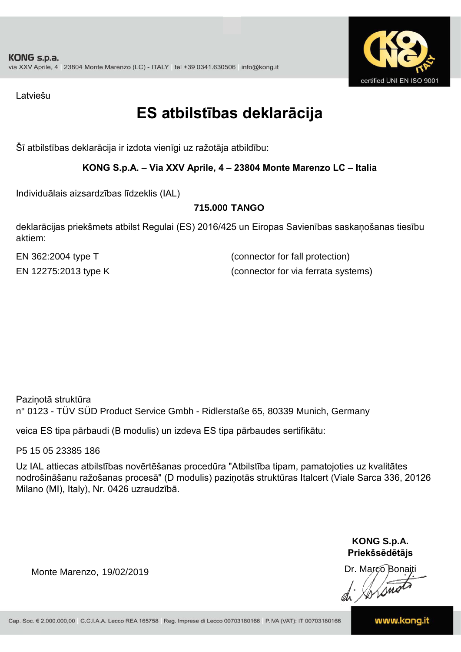

Latviešu

### **ES atbilstības deklarācija**

Šī atbilstības deklarācija ir izdota vienīgi uz ražotāja atbildību:

#### **KONG S.p.A. – Via XXV Aprile, 4 – 23804 Monte Marenzo LC – Italia**

Individuālais aizsardzības līdzeklis (IAL)

#### **715.000 TANGO**

deklarācijas priekšmets atbilst Regulai (ES) 2016/425 un Eiropas Savienības saskaņošanas tiesību aktiem:

EN 362:2004 type T (connector for fall protection) EN 12275:2013 type K (connector for via ferrata systems)

Paziņotā struktūra n° 0123 - TÜV SÜD Product Service Gmbh - Ridlerstaße 65, 80339 Munich, Germany

veica ES tipa pārbaudi (B modulis) un izdeva ES tipa pārbaudes sertifikātu:

P5 15 05 23385 186

Uz IAL attiecas atbilstības novērtēšanas procedūra "Atbilstība tipam, pamatojoties uz kvalitātes nodrošināšanu ražošanas procesā" (D modulis) paziņotās struktūras Italcert (Viale Sarca 336, 20126 Milano (MI), Italy), Nr. 0426 uzraudzībā.

> **KONG S.p.A. Priekšsēdētājs**

Dr. Marco Bonaiti

Monte Marenzo, 19/02/2019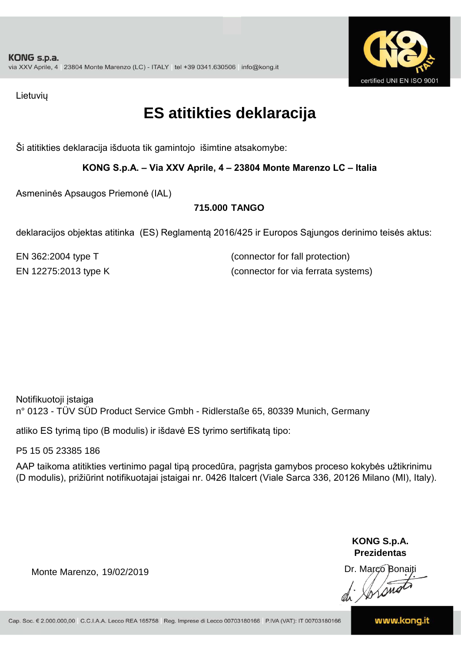

Lietuvių

### **ES atitikties deklaracija**

Ši atitikties deklaracija išduota tik gamintojo išimtine atsakomybe:

**KONG S.p.A. – Via XXV Aprile, 4 – 23804 Monte Marenzo LC – Italia**

Asmeninės Apsaugos Priemonė (IAL)

#### **715.000 TANGO**

deklaracijos objektas atitinka (ES) Reglamentą 2016/425 ir Europos Sąjungos derinimo teisės aktus:

EN 362:2004 type T (connector for fall protection) EN 12275:2013 type K (connector for via ferrata systems)

Notifikuotoji įstaiga n° 0123 - TÜV SÜD Product Service Gmbh - Ridlerstaße 65, 80339 Munich, Germany

atliko ES tyrimą tipo (B modulis) ir išdavė ES tyrimo sertifikatą tipo:

P5 15 05 23385 186

AAP taikoma atitikties vertinimo pagal tipą procedūra, pagrįsta gamybos proceso kokybės užtikrinimu (D modulis), prižiūrint notifikuotajai įstaigai nr. 0426 Italcert (Viale Sarca 336, 20126 Milano (MI), Italy).

> **KONG S.p.A. Prezidentas**

Dr. Marco Bonaiti di Arono

Monte Marenzo, 19/02/2019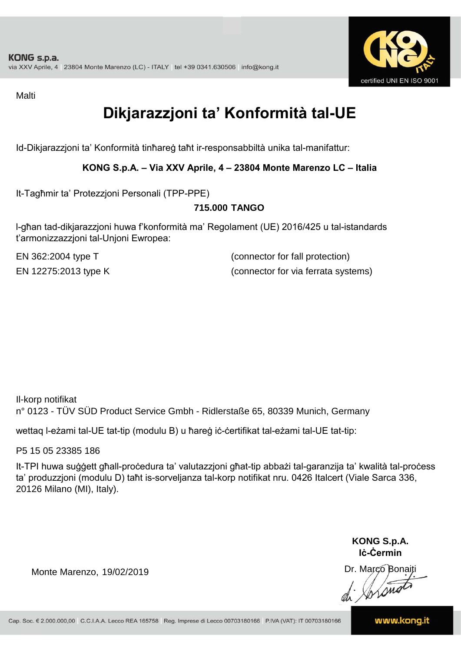

Malti

## **Dikjarazzjoni ta' Konformità tal-UE**

Id-Dikjarazzjoni ta' Konformità tinħareġ taħt ir-responsabbiltà unika tal-manifattur:

#### **KONG S.p.A. – Via XXV Aprile, 4 – 23804 Monte Marenzo LC – Italia**

It-Tagħmir ta' Protezzjoni Personali (TPP-PPE)

#### **715.000 TANGO**

l-għan tad-dikjarazzjoni huwa f'konformità ma' Regolament (UE) 2016/425 u tal-istandards t'armonizzazzjoni tal-Unjoni Ewropea:

EN 362:2004 type T (connector for fall protection) EN 12275:2013 type K (connector for via ferrata systems)

Il-korp notifikat n° 0123 - TÜV SÜD Product Service Gmbh - Ridlerstaße 65, 80339 Munich, Germany

wettaq l-eżami tal-UE tat-tip (modulu B) u ħareġ iċ-ċertifikat tal-eżami tal-UE tat-tip:

P5 15 05 23385 186

It-TPI huwa suġġett għall-proċedura ta' valutazzjoni għat-tip abbażi tal-garanzija ta' kwalità tal-proċess ta' produzzjoni (modulu D) taħt is-sorveljanza tal-korp notifikat nru. 0426 Italcert (Viale Sarca 336, 20126 Milano (MI), Italy).

> **KONG S.p.A. Iċ-Ċermin**

Dr. Marco Bonaiti di Stonom

Monte Marenzo, 19/02/2019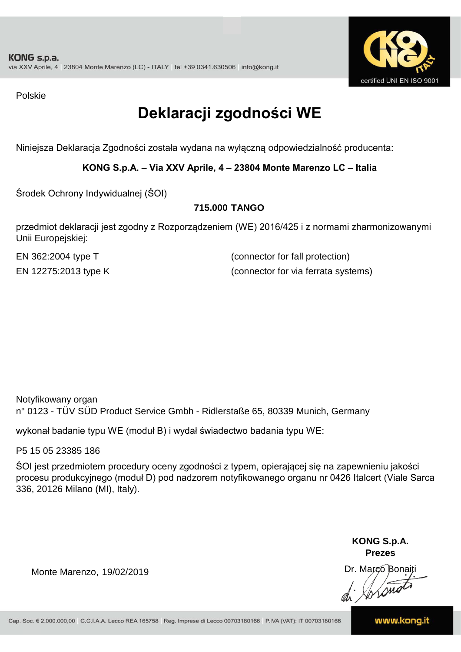

Polskie

## **Deklaracji zgodności WE**

Niniejsza Deklaracja Zgodności została wydana na wyłączną odpowiedzialność producenta:

**KONG S.p.A. – Via XXV Aprile, 4 – 23804 Monte Marenzo LC – Italia**

Środek Ochrony Indywidualnej (ŚOI)

#### **715.000 TANGO**

przedmiot deklaracji jest zgodny z Rozporządzeniem (WE) 2016/425 i z normami zharmonizowanymi Unii Europejskiej:

EN 362:2004 type T (connector for fall protection) EN 12275:2013 type K (connector for via ferrata systems)

Notyfikowany organ n° 0123 - TÜV SÜD Product Service Gmbh - Ridlerstaße 65, 80339 Munich, Germany

wykonał badanie typu WE (moduł B) i wydał świadectwo badania typu WE:

P5 15 05 23385 186

ŚOI jest przedmiotem procedury oceny zgodności z typem, opierającej się na zapewnieniu jakości procesu produkcyjnego (moduł D) pod nadzorem notyfikowanego organu nr 0426 Italcert (Viale Sarca 336, 20126 Milano (MI), Italy).

> **KONG S.p.A. Prezes**

Dr. Marco Bonaiti di Aromo

Monte Marenzo, 19/02/2019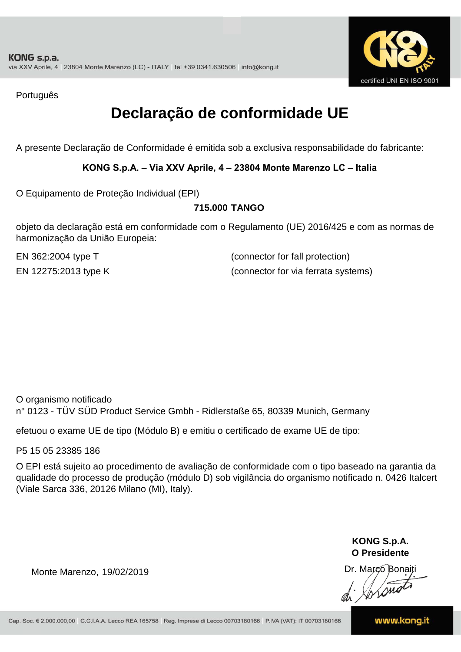

Português

### **Declaração de conformidade UE**

A presente Declaração de Conformidade é emitida sob a exclusiva responsabilidade do fabricante:

**KONG S.p.A. – Via XXV Aprile, 4 – 23804 Monte Marenzo LC – Italia**

O Equipamento de Proteção Individual (EPI)

#### **715.000 TANGO**

objeto da declaração está em conformidade com o Regulamento (UE) 2016/425 e com as normas de harmonização da União Europeia:

EN 362:2004 type T (connector for fall protection) EN 12275:2013 type K (connector for via ferrata systems)

O organismo notificado n° 0123 - TÜV SÜD Product Service Gmbh - Ridlerstaße 65, 80339 Munich, Germany

efetuou o exame UE de tipo (Módulo B) e emitiu o certificado de exame UE de tipo:

P5 15 05 23385 186

O EPI está sujeito ao procedimento de avaliação de conformidade com o tipo baseado na garantia da qualidade do processo de produção (módulo D) sob vigilância do organismo notificado n. 0426 Italcert (Viale Sarca 336, 20126 Milano (MI), Italy).

> **KONG S.p.A. O Presidente**

Dr. Marco Bonaiti di Aromo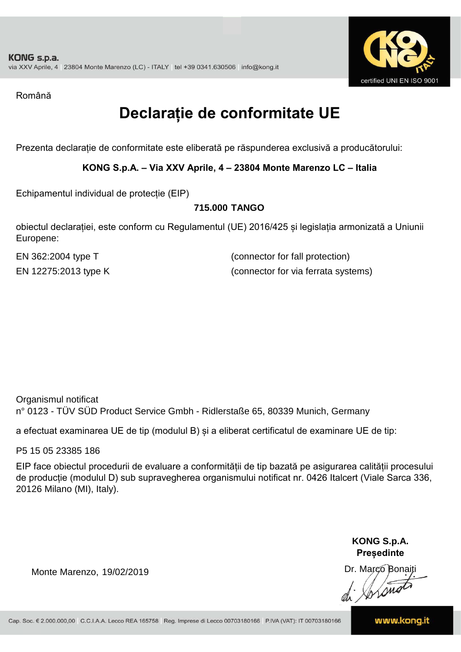

Română

## **Declarație de conformitate UE**

Prezenta declarație de conformitate este eliberată pe răspunderea exclusivă a producătorului:

**KONG S.p.A. – Via XXV Aprile, 4 – 23804 Monte Marenzo LC – Italia**

Echipamentul individual de protecție (EIP)

#### **715.000 TANGO**

obiectul declarației, este conform cu Regulamentul (UE) 2016/425 și legislația armonizată a Uniunii Europene:

EN 362:2004 type T (connector for fall protection) EN 12275:2013 type K (connector for via ferrata systems)

Organismul notificat n° 0123 - TÜV SÜD Product Service Gmbh - Ridlerstaße 65, 80339 Munich, Germany

a efectuat examinarea UE de tip (modulul B) și a eliberat certificatul de examinare UE de tip:

P5 15 05 23385 186

EIP face obiectul procedurii de evaluare a conformității de tip bazată pe asigurarea calității procesului de producție (modulul D) sub supravegherea organismului notificat nr. 0426 Italcert (Viale Sarca 336, 20126 Milano (MI), Italy).

> **KONG S.p.A. Președinte**

Dr. Marco Bonaiti di Stono

Monte Marenzo, 19/02/2019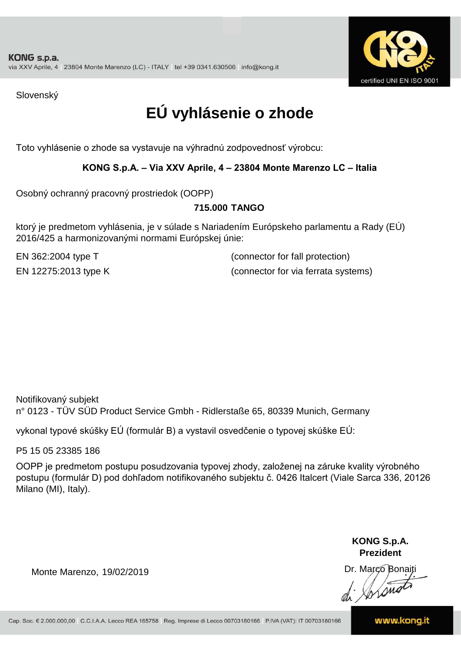

Slovenský

## **EÚ vyhlásenie o zhode**

Toto vyhlásenie o zhode sa vystavuje na výhradnú zodpovednosť výrobcu:

#### **KONG S.p.A. – Via XXV Aprile, 4 – 23804 Monte Marenzo LC – Italia**

Osobný ochranný pracovný prostriedok (OOPP)

#### **TANGO 715.000**

ktorý je predmetom vyhlásenia, je v súlade s Nariadením Európskeho parlamentu a Rady (EÚ) 2016/425 a harmonizovanými normami Európskej únie:

EN 362:2004 type T (connector for fall protection) EN 12275:2013 type K (connector for via ferrata systems)

Notifikovaný subjekt n° 0123 - TÜV SÜD Product Service Gmbh - Ridlerstaße 65, 80339 Munich, Germany

vykonal typové skúšky EÚ (formulár B) a vystavil osvedčenie o typovej skúške EÚ:

P5 15 05 23385 186

OOPP je predmetom postupu posudzovania typovej zhody, založenej na záruke kvality výrobného postupu (formulár D) pod dohľadom notifikovaného subjektu č. 0426 Italcert (Viale Sarca 336, 20126 Milano (MI), Italy).

> **KONG S.p.A. Prezident**

Dr. Marco Bonaiti di Arono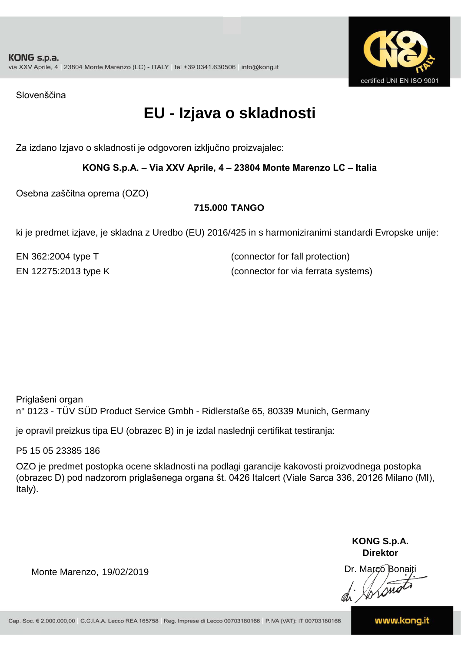

Slovenščina

### **EU - Izjava o skladnosti**

Za izdano Izjavo o skladnosti je odgovoren izključno proizvajalec:

#### **KONG S.p.A. – Via XXV Aprile, 4 – 23804 Monte Marenzo LC – Italia**

Osebna zaščitna oprema (OZO)

#### **715.000 TANGO**

ki je predmet izjave, je skladna z Uredbo (EU) 2016/425 in s harmoniziranimi standardi Evropske unije:

EN 362:2004 type T (connector for fall protection) EN 12275:2013 type K (connector for via ferrata systems)

Priglašeni organ n° 0123 - TÜV SÜD Product Service Gmbh - Ridlerstaße 65, 80339 Munich, Germany

je opravil preizkus tipa EU (obrazec B) in je izdal naslednji certifikat testiranja:

P5 15 05 23385 186

OZO je predmet postopka ocene skladnosti na podlagi garancije kakovosti proizvodnega postopka (obrazec D) pod nadzorom priglašenega organa št. 0426 Italcert (Viale Sarca 336, 20126 Milano (MI), Italy).

> **KONG S.p.A. Direktor**

Dr. Marco Bonaiti di Stonom

Monte Marenzo, 19/02/2019